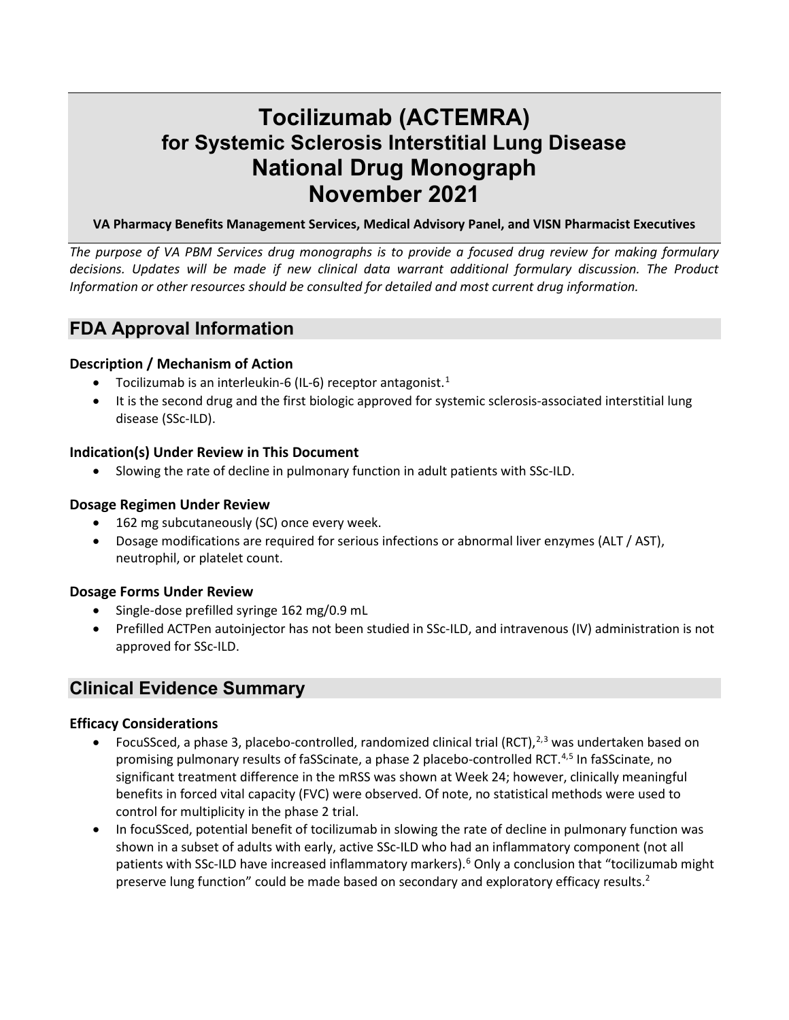# **Tocilizumab (ACTEMRA) for Systemic Sclerosis Interstitial Lung Disease National Drug Monograph November 2021**

### **VA Pharmacy Benefits Management Services, Medical Advisory Panel, and VISN Pharmacist Executives**

*The purpose of VA PBM Services drug monographs is to provide a focused drug review for making formulary decisions. Updates will be made if new clinical data warrant additional formulary discussion. The Product Information or other resources should be consulted for detailed and most current drug information.*

# **FDA Approval Information**

# **Description / Mechanism of Action**

- Tocilizumab is an interleukin-6 (IL-6) receptor antagonist.<sup>[1](#page-11-0)</sup>
- It is the second drug and the first biologic approved for systemic sclerosis-associated interstitial lung disease (SSc-ILD).

# **Indication(s) Under Review in This Document**

• Slowing the rate of decline in pulmonary function in adult patients with SSc-ILD.

# **Dosage Regimen Under Review**

- 162 mg subcutaneously (SC) once every week.
- Dosage modifications are required for serious infections or abnormal liver enzymes (ALT / AST), neutrophil, or platelet count.

# **Dosage Forms Under Review**

- Single-dose prefilled syringe 162 mg/0.9 mL
- Prefilled ACTPen autoinjector has not been studied in SSc-ILD, and intravenous (IV) administration is not approved for SSc-ILD.

# **Clinical Evidence Summary**

# **Efficacy Considerations**

- <span id="page-0-2"></span><span id="page-0-1"></span><span id="page-0-0"></span>• FocuSSced, a phase [3](#page-11-2), placebo-controlled, randomized clinical trial (RCT), $2,3$  $2,3$  was undertaken based on promising pulmonary results of faSScinate, a phase 2 placebo-controlled RCT.<sup>[4](#page-11-3),[5](#page-11-4)</sup> In faSScinate, no significant treatment difference in the mRSS was shown at Week 24; however, clinically meaningful benefits in forced vital capacity (FVC) were observed. Of note, no statistical methods were used to control for multiplicity in the phase 2 trial.
- <span id="page-0-3"></span>• In focuSSced, potential benefit of tocilizumab in slowing the rate of decline in pulmonary function was shown in a subset of adults with early, active SSc-ILD who had an inflammatory component (not all patients with SSc-ILD have increased inflammatory markers).<sup>[6](#page-11-5)</sup> Only a conclusion that "tocilizumab might preservelung function" could be made based on secondary and exploratory efficacy results.<sup>2</sup>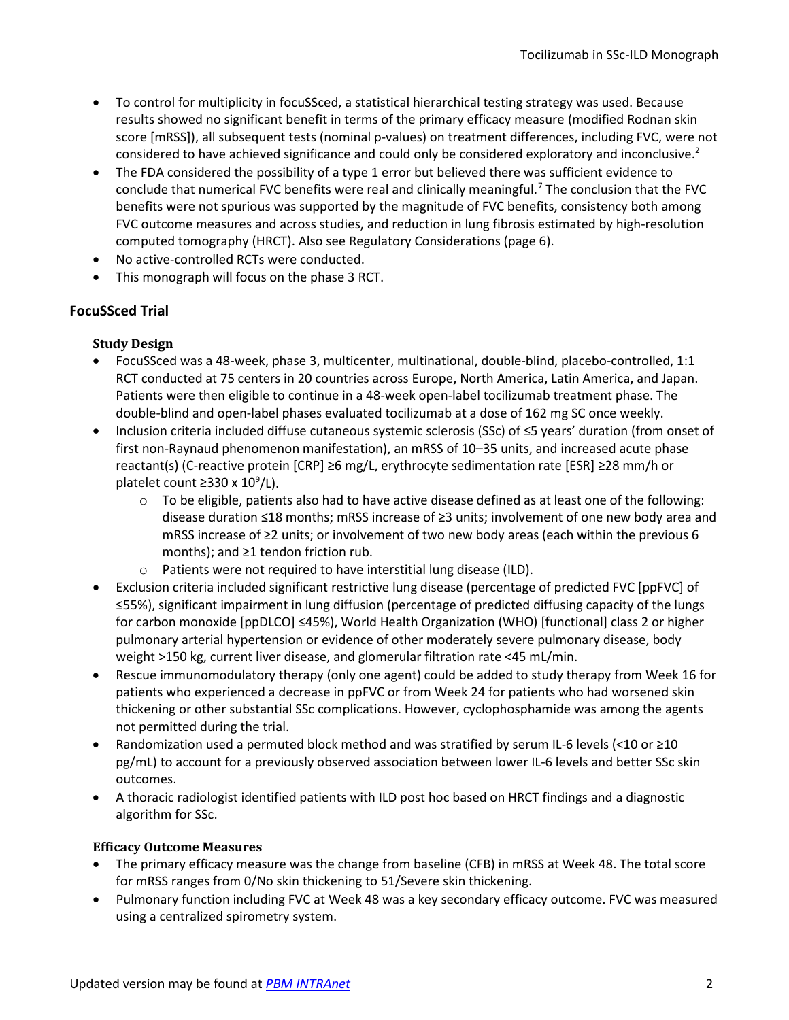- To control for multiplicity in focuSSced, a statistical hierarchical testing strategy was used. Because results showed no significant benefit in terms of the primary efficacy measure (modified Rodnan skin score [mRSS]), all subsequent tests (nominal p-values) on treatment differences, including FVC, were not considered to have achieved significance and could only be considered exploratory and inconclusive[.](#page-0-1)<sup>2</sup>
- <span id="page-1-0"></span>• The FDA considered the possibility of a type 1 error but believed there was sufficient evidence to conclude that numerical FVC benefits were real and clinically meaningful.<sup>[7](#page-11-6)</sup> The conclusion that the FVC benefits were not spurious was supported by the magnitude of FVC benefits, consistency both among FVC outcome measures and across studies, and reduction in lung fibrosis estimated by high-resolution computed tomography (HRCT). Also see Regulatory Considerations (page [6\)](#page-5-0).
- No active-controlled RCTs were conducted.
- This monograph will focus on the phase 3 RCT.

# **FocuSSced Trial**

# **Study Design**

- FocuSSced was a 48-week, phase 3, multicenter, multinational, double-blind, placebo-controlled, 1:1 RCT conducted at 75 centers in 20 countries across Europe, North America, Latin America, and Japan. Patients were then eligible to continue in a 48-week open-label tocilizumab treatment phase. The double-blind and open-label phases evaluated tocilizumab at a dose of 162 mg SC once weekly.
- Inclusion criteria included diffuse cutaneous systemic sclerosis (SSc) of ≤5 years' duration (from onset of first non-Raynaud phenomenon manifestation), an mRSS of 10–35 units, and increased acute phase reactant(s) (C-reactive protein [CRP] ≥6 mg/L, erythrocyte sedimentation rate [ESR] ≥28 mm/h or platelet count ≥330 x  $10^9$ /L).
	- $\circ$  To be eligible, patients also had to have active disease defined as at least one of the following: disease duration ≤18 months; mRSS increase of ≥3 units; involvement of one new body area and mRSS increase of ≥2 units; or involvement of two new body areas (each within the previous 6 months); and ≥1 tendon friction rub.
	- o Patients were not required to have interstitial lung disease (ILD).
- Exclusion criteria included significant restrictive lung disease (percentage of predicted FVC [ppFVC] of ≤55%), significant impairment in lung diffusion (percentage of predicted diffusing capacity of the lungs for carbon monoxide [ppDLCO] ≤45%), World Health Organization (WHO) [functional] class 2 or higher pulmonary arterial hypertension or evidence of other moderately severe pulmonary disease, body weight >150 kg, current liver disease, and glomerular filtration rate <45 mL/min.
- Rescue immunomodulatory therapy (only one agent) could be added to study therapy from Week 16 for patients who experienced a decrease in ppFVC or from Week 24 for patients who had worsened skin thickening or other substantial SSc complications. However, cyclophosphamide was among the agents not permitted during the trial.
- Randomization used a permuted block method and was stratified by serum IL-6 levels (<10 or ≥10 pg/mL) to account for a previously observed association between lower IL-6 levels and better SSc skin outcomes.
- A thoracic radiologist identified patients with ILD post hoc based on HRCT findings and a diagnostic algorithm for SSc.

# **Efficacy Outcome Measures**

- The primary efficacy measure was the change from baseline (CFB) in mRSS at Week 48. The total score for mRSS ranges from 0/No skin thickening to 51/Severe skin thickening.
- Pulmonary function including FVC at Week 48 was a key secondary efficacy outcome. FVC was measured using a centralized spirometry system.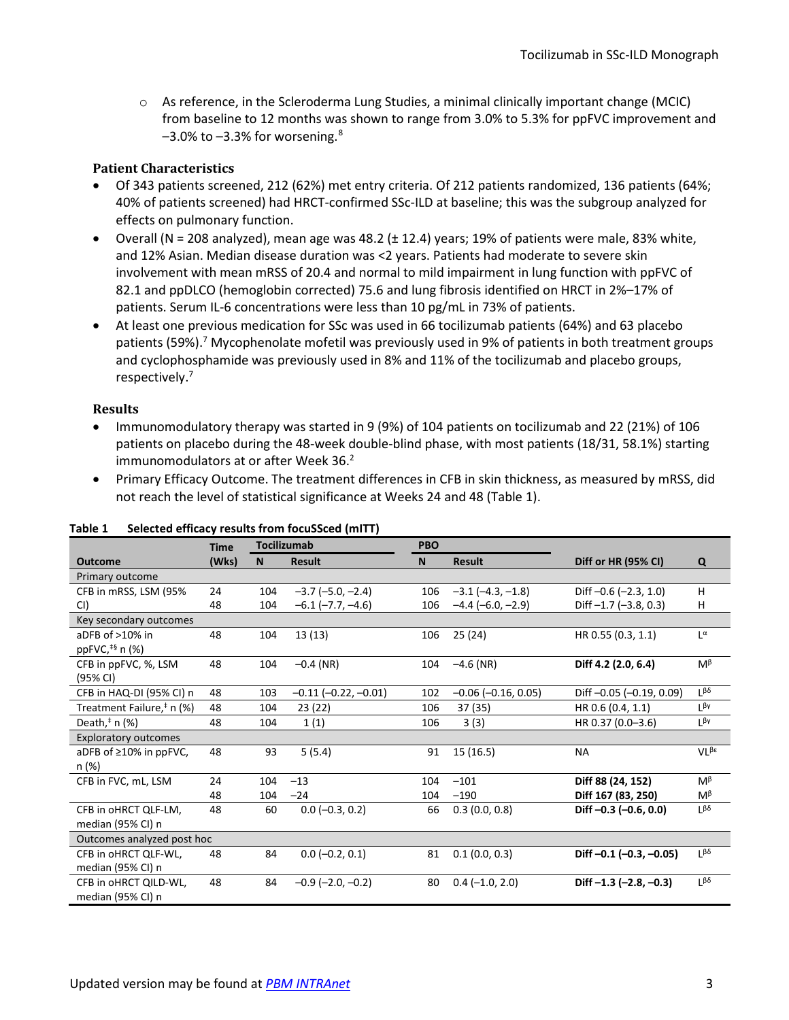$\circ$  As reference, in the Scleroderma Lung Studies, a minimal clinically important change (MCIC) from baseline to 12 months was shown to range from 3.0% to 5.3% for ppFVC improvement and  $-3.0\%$  to  $-3.3\%$  for worsening.<sup>[8](#page-11-7)</sup>

### **Patient Characteristics**

- Of 343 patients screened, 212 (62%) met entry criteria. Of 212 patients randomized, 136 patients (64%; 40% of patients screened) had HRCT-confirmed SSc-ILD at baseline; this was the subgroup analyzed for effects on pulmonary function.
- Overall (N = 208 analyzed), mean age was 48.2 ( $\pm$  12.4) years; 19% of patients were male, 83% white, and 12% Asian. Median disease duration was <2 years. Patients had moderate to severe skin involvement with mean mRSS of 20.4 and normal to mild impairment in lung function with ppFVC of 82.1 and ppDLCO (hemoglobin corrected) 75.6 and lung fibrosis identified on HRCT in 2%–17% of patients. Serum IL-6 concentrations were less than 10 pg/mL in 73% of patients.
- At least one previous medication for SSc was used in 66 tocilizumab patients (64%) and 63 placebo patients (59%)[.](#page-1-0)<sup>7</sup> Mycophenolate mofetil was previously used in 9% of patients in both treatment groups and cyclophosphamide was previously used in 8% and 11% of the tocilizumab and placebo groups, respectively[.](#page-1-0) 7

#### **Results**

- Immunomodulatory therapy was started in 9 (9%) of 104 patients on tocilizumab and 22 (21%) of 106 patients on placebo during the 48-week double-blind phase, with most patients (18/31, 58.1%) starting immunomodulators at or after Week 36.<sup>2</sup>
- Primary Efficacy Outcome. The treatment differences in CFB in skin thickness, as measured by mRSS, did not reach the level of statistical significance at Weeks 24 and 48 [\(Table 1\)](#page-2-0).

|                                               | <b>Time</b> | <b>Tocilizumab</b> |                            | <b>PBO</b> |                            |                                 |                          |
|-----------------------------------------------|-------------|--------------------|----------------------------|------------|----------------------------|---------------------------------|--------------------------|
| <b>Outcome</b>                                | (Wks)       | <b>N</b>           | <b>Result</b>              | <b>N</b>   | <b>Result</b>              | Diff or HR (95% CI)             | Q                        |
| Primary outcome                               |             |                    |                            |            |                            |                                 |                          |
| CFB in mRSS, LSM (95%                         | 24          | 104                | $-3.7$ ( $-5.0$ , $-2.4$ ) | 106        | $-3.1$ ( $-4.3$ , $-1.8$ ) | Diff $-0.6$ $(-2.3, 1.0)$       | H                        |
| CI)                                           | 48          | 104                | $-6.1$ ( $-7.7$ , $-4.6$ ) | 106        | $-4.4$ (-6.0, -2.9)        | Diff $-1.7$ $(-3.8, 0.3)$       | Н                        |
| Key secondary outcomes                        |             |                    |                            |            |                            |                                 |                          |
| aDFB of >10% in<br>ppFVC, <sup>‡§</sup> n (%) | 48          | 104                | 13(13)                     | 106        | 25 (24)                    | HR 0.55 (0.3, 1.1)              | $L^{\alpha}$             |
| CFB in ppFVC, %, LSM<br>(95% CI)              | 48          | 104                | $-0.4$ (NR)                | 104        | $-4.6$ (NR)                | Diff 4.2 (2.0, 6.4)             | $M^{\beta}$              |
| CFB in HAQ-DI (95% CI) n                      | 48          | 103                | $-0.11$ $(-0.22, -0.01)$   | 102        | $-0.06$ ( $-0.16$ , 0.05)  | Diff-0.05 (-0.19, 0.09)         | $1\beta\delta$           |
| Treatment Failure, <sup>#</sup> n (%)         | 48          | 104                | 23 (22)                    | 106        | 37 (35)                    | HR 0.6 (0.4, 1.1)               | Lβγ                      |
| Death, $*$ n (%)                              | 48          | 104                | 1(1)                       | 106        | 3(3)                       | HR 0.37 (0.0-3.6)               | L <sup>βγ</sup>          |
| <b>Exploratory outcomes</b>                   |             |                    |                            |            |                            |                                 |                          |
| aDFB of $\geq 10\%$ in ppFVC,<br>n (%)        | 48          | 93                 | 5(5.4)                     | 91         | 15 (16.5)                  | <b>NA</b>                       | $VL^{\beta \varepsilon}$ |
| CFB in FVC, mL, LSM                           | 24          | 104                | $-13$                      | 104        | $-101$                     | Diff 88 (24, 152)               | M <sup>β</sup>           |
|                                               | 48          | 104                | $-24$                      | 104        | $-190$                     | Diff 167 (83, 250)              | $M^{\beta}$              |
| CFB in oHRCT QLF-LM,                          | 48          | 60                 | $0.0$ (-0.3, 0.2)          | 66         | 0.3(0.0, 0.8)              | Diff $-0.3$ $(-0.6, 0.0)$       | $1\beta\delta$           |
| median (95% CI) n                             |             |                    |                            |            |                            |                                 |                          |
| Outcomes analyzed post hoc                    |             |                    |                            |            |                            |                                 |                          |
| CFB in oHRCT QLF-WL,                          | 48          | 84                 | $0.0 (-0.2, 0.1)$          | 81         | 0.1(0.0, 0.3)              | Diff $-0.1$ $(-0.3, -0.05)$     | $\beta\delta$            |
| median (95% CI) n                             |             |                    |                            |            |                            |                                 |                          |
| CFB in oHRCT QILD-WL,<br>median (95% CI) n    | 48          | 84                 | $-0.9$ ( $-2.0, -0.2$ )    | 80         | $0.4 (-1.0, 2.0)$          | Diff $-1.3$ ( $-2.8$ , $-0.3$ ) | $1\beta\delta$           |

#### <span id="page-2-0"></span>**Table 1 Selected efficacy results from focuSSced (mITT)**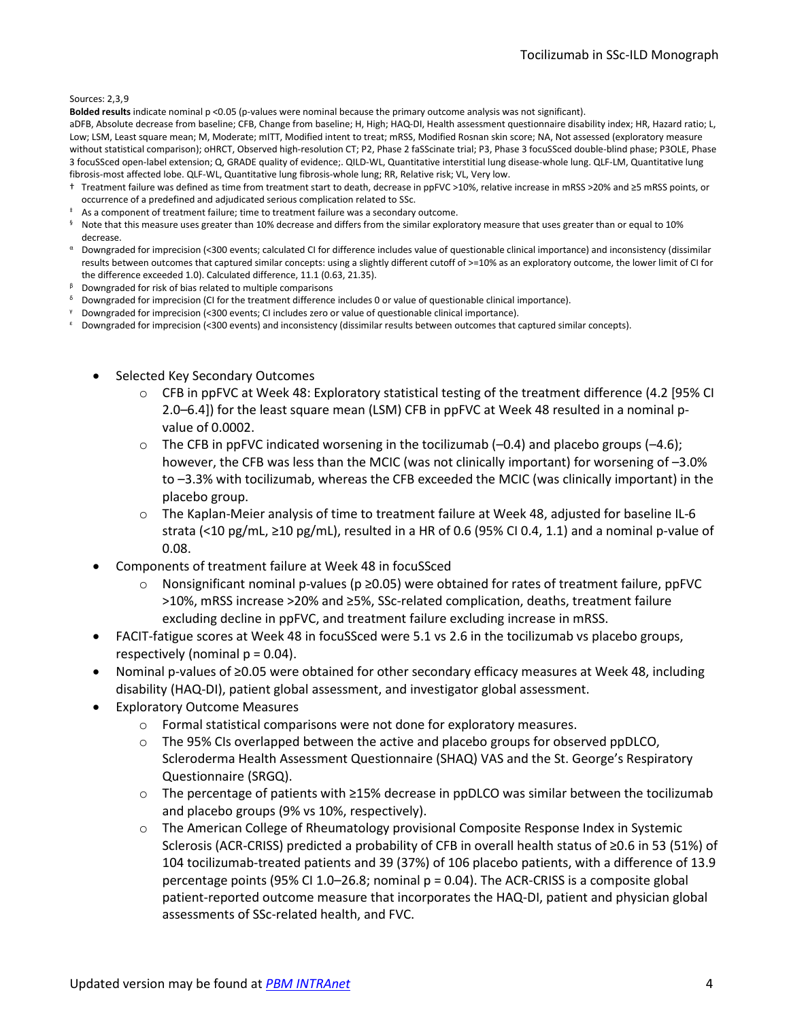#### Sources: [2,](#page-0-1)[3,](#page-0-2)[9](#page-11-8)

**Bolded results** indicate nominal p <0.05 (p-values were nominal because the primary outcome analysis was not significant).

aDFB, Absolute decrease from baseline; CFB, Change from baseline; H, High; HAQ-DI, Health assessment questionnaire disability index; HR, Hazard ratio; L, Low; LSM, Least square mean; M, Moderate; mITT, Modified intent to treat; mRSS, Modified Rosnan skin score; NA, Not assessed (exploratory measure without statistical comparison); oHRCT, Observed high-resolution CT; P2, Phase 2 faSScinate trial; P3, Phase 3 focuSSced double-blind phase; P3OLE, Phase 3 focuSSced open-label extension; Q, GRADE quality of evidence;. QILD-WL, Quantitative interstitial lung disease-whole lung. QLF-LM, Quantitative lung fibrosis-most affected lobe. QLF-WL, Quantitative lung fibrosis-whole lung; RR, Relative risk; VL, Very low.

- † Treatment failure was defined as time from treatment start to death, decrease in ppFVC >10%, relative increase in mRSS >20% and ≥5 mRSS points, or occurrence of a predefined and adjudicated serious complication related to SSc.
- <sup>#</sup> As a component of treatment failure; time to treatment failure was a secondary outcome.
- <sup>§</sup> Note that this measure uses greater than 10% decrease and differs from the similar exploratory measure that uses greater than or equal to 10% decrease.
- <sup>α</sup> Downgraded for imprecision (<300 events; calculated CI for difference includes value of questionable clinical importance) and inconsistency (dissimilar results between outcomes that captured similar concepts: using a slightly different cutoff of >=10% as an exploratory outcome, the lower limit of CI for the difference exceeded 1.0). Calculated difference, 11.1 (0.63, 21.35).
- <sup>β</sup> Downgraded for risk of bias related to multiple comparisons
- $\delta$  Downgraded for imprecision (CI for the treatment difference includes 0 or value of questionable clinical importance).
- <sup>γ</sup> Downgraded for imprecision (<300 events; CI includes zero or value of questionable clinical importance).
- <sup>ε</sup> Downgraded for imprecision (<300 events) and inconsistency (dissimilar results between outcomes that captured similar concepts).
	- Selected Key Secondary Outcomes
		- o CFB in ppFVC at Week 48: Exploratory statistical testing of the treatment difference (4.2 [95% CI 2.0–6.4]) for the least square mean (LSM) CFB in ppFVC at Week 48 resulted in a nominal pvalue of 0.0002.
		- $\circ$  The CFB in ppFVC indicated worsening in the tocilizumab (-0.4) and placebo groups (-4.6); however, the CFB was less than the MCIC (was not clinically important) for worsening of –3.0% to –3.3% with tocilizumab, whereas the CFB exceeded the MCIC (was clinically important) in the placebo group.
		- o The Kaplan-Meier analysis of time to treatment failure at Week 48, adjusted for baseline IL-6 strata (<10 pg/mL, ≥10 pg/mL), resulted in a HR of 0.6 (95% CI 0.4, 1.1) and a nominal p-value of 0.08.
	- Components of treatment failure at Week 48 in focuSSced
		- Nonsignificant nominal p-values ( $p \ge 0.05$ ) were obtained for rates of treatment failure, ppFVC >10%, mRSS increase >20% and ≥5%, SSc-related complication, deaths, treatment failure excluding decline in ppFVC, and treatment failure excluding increase in mRSS.
	- FACIT-fatigue scores at Week 48 in focuSSced were 5.1 vs 2.6 in the tocilizumab vs placebo groups, respectively (nominal  $p = 0.04$ ).
	- Nominal p-values of ≥0.05 were obtained for other secondary efficacy measures at Week 48, including disability (HAQ-DI), patient global assessment, and investigator global assessment.
	- **Exploratory Outcome Measures** 
		- o Formal statistical comparisons were not done for exploratory measures.
		- o The 95% CIs overlapped between the active and placebo groups for observed ppDLCO, Scleroderma Health Assessment Questionnaire (SHAQ) VAS and the St. George's Respiratory Questionnaire (SRGQ).
		- o The percentage of patients with ≥15% decrease in ppDLCO was similar between the tocilizumab and placebo groups (9% vs 10%, respectively).
		- o The American College of Rheumatology provisional Composite Response Index in Systemic Sclerosis (ACR-CRISS) predicted a probability of CFB in overall health status of ≥0.6 in 53 (51%) of 104 tocilizumab-treated patients and 39 (37%) of 106 placebo patients, with a difference of 13.9 percentage points (95% CI 1.0–26.8; nominal p = 0.04). The ACR-CRISS is a composite global patient-reported outcome measure that incorporates the HAQ-DI, patient and physician global assessments of SSc-related health, and FVC.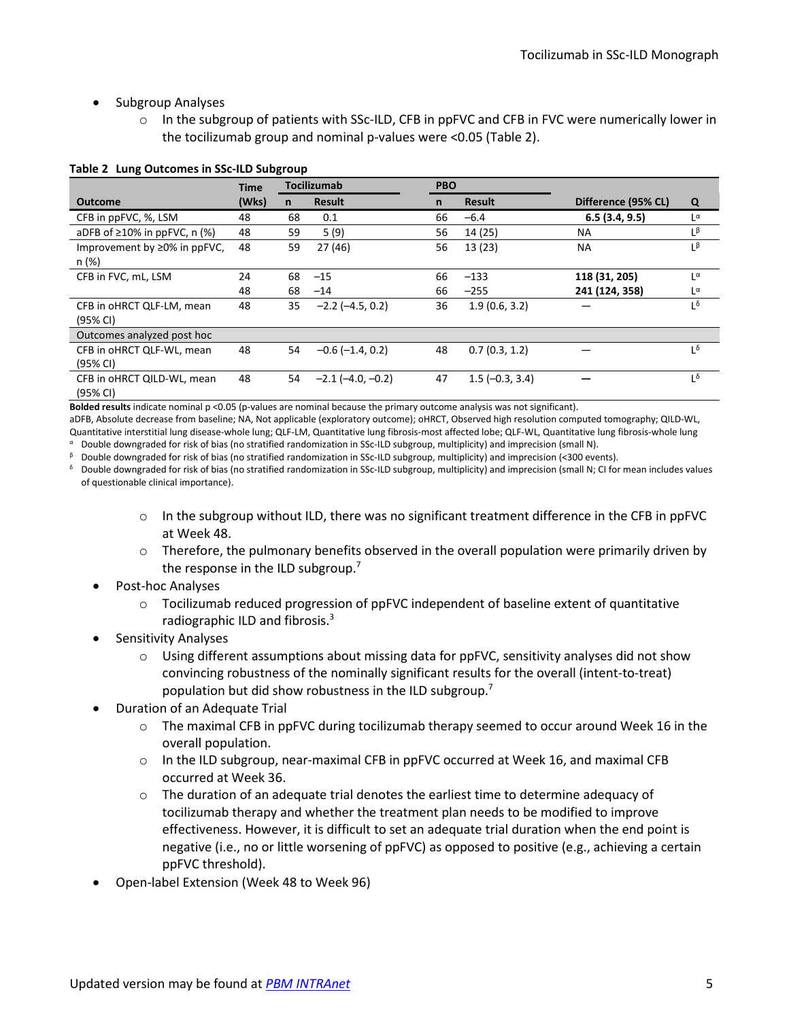- Subgroup Analyses
	- In the subgroup of patients with SSc-ILD, CFB in ppFVC and CFB in FVC were numerically lower in the tocilizumab group and nominal p-values were <0.05 [\(Table 2\)](#page-4-0).

|                                             | <b>Time</b> | <b>Tocilizumab</b> |                         | <b>PBO</b>   |                  |                     |                       |
|---------------------------------------------|-------------|--------------------|-------------------------|--------------|------------------|---------------------|-----------------------|
| <b>Outcome</b>                              | (Wks)       | n                  | <b>Result</b>           | $\mathsf{n}$ | <b>Result</b>    | Difference (95% CL) | Q                     |
| CFB in ppFVC, %, LSM                        | 48          | 68                 | 0.1                     | 66           | $-6.4$           | 6.5(3.4, 9.5)       | $L^{\alpha}$          |
| aDFB of $\geq 10\%$ in ppFVC, n (%)         | 48          | 59                 | 5 (9)                   | 56           | 14 (25)          | <b>NA</b>           | $L^{\beta}$           |
| Improvement by $\geq$ 0% in ppFVC,<br>n (%) | 48          | 59                 | 27 (46)                 | 56           | 13(23)           | <b>NA</b>           | Lβ                    |
| CFB in FVC, mL, LSM                         | 24          | 68                 | $-15$                   | 66           | $-133$           | 118 (31, 205)       | $L^{\alpha}$          |
|                                             | 48          | 68                 | $-14$                   | 66           | $-255$           | 241 (124, 358)      | $L^{\alpha}$          |
| CFB in oHRCT QLF-LM, mean<br>(95% CI)       | 48          | 35                 | $-2.2$ ( $-4.5, 0.2$ )  | 36           | 1.9(0.6, 3.2)    |                     | Lδ                    |
| Outcomes analyzed post hoc                  |             |                    |                         |              |                  |                     |                       |
| CFB in oHRCT QLF-WL, mean<br>(95% CI)       | 48          | 54                 | $-0.6$ ( $-1.4$ , 0.2)  | 48           | 0.7(0.3, 1.2)    |                     | $1^{\delta}$          |
| CFB in oHRCT QILD-WL, mean<br>(95% CI)      | 48          | 54                 | $-2.1$ ( $-4.0, -0.2$ ) | 47           | $1.5(-0.3, 3.4)$ |                     | $\mathbf{1}^{\delta}$ |

#### <span id="page-4-0"></span>**Table 2 Lung Outcomes in SSc-ILD Subgroup**

**Bolded results** indicate nominal p <0.05 (p-values are nominal because the primary outcome analysis was not significant).

aDFB, Absolute decrease from baseline; NA, Not applicable (exploratory outcome); oHRCT, Observed high resolution computed tomography; QILD-WL, Quantitative interstitial lung disease-whole lung; QLF-LM, Quantitative lung fibrosis-most affected lobe; QLF-WL, Quantitative lung fibrosis-whole lung

<sup>α</sup> Double downgraded for risk of bias (no stratified randomization in SSc-ILD subgroup, multiplicity) and imprecision (small N). <sup>β</sup> Double downgraded for risk of bias (no stratified randomization in SSc-ILD subgroup, multiplicity) and imprecision (<300 events).

<sup>δ</sup> Double downgraded for risk of bias (no stratified randomization in SSc-ILD subgroup, multiplicity) and imprecision (small N; CI for mean includes values of questionable clinical importance).

- $\circ$  In the subgroup without ILD, there was no significant treatment difference in the CFB in ppFVC at Week 48.
- $\circ$  Therefore, the pulmonary benefits observed in the overall population were primarily driven by the response in the ILD subgroup.<sup>7</sup>
- Post-hoc Analyses
	- $\circ$  Tocilizumab reduced progression of ppFVC independent of baseline extent of quantitative radiographic ILD and fibrosis[.3](#page-0-2)
- Sensitivity Analyses
	- $\circ$  Using different assumptions about missing data for ppFVC, sensitivity analyses did not show convincing robustness of the nominally significant results for the overall (intent-to-treat) population but did show robustness in the ILD subgroup[.](#page-1-0)<sup>7</sup>
- Duration of an Adequate Trial
	- $\circ$  The maximal CFB in ppFVC during tocilizumab therapy seemed to occur around Week 16 in the overall population.
	- $\circ$  In the ILD subgroup, near-maximal CFB in ppFVC occurred at Week 16, and maximal CFB occurred at Week 36.
	- $\circ$  The duration of an adequate trial denotes the earliest time to determine adequacy of tocilizumab therapy and whether the treatment plan needs to be modified to improve effectiveness. However, it is difficult to set an adequate trial duration when the end point is negative (i.e., no or little worsening of ppFVC) as opposed to positive (e.g., achieving a certain ppFVC threshold).
- Open-label Extension (Week 48 to Week 96)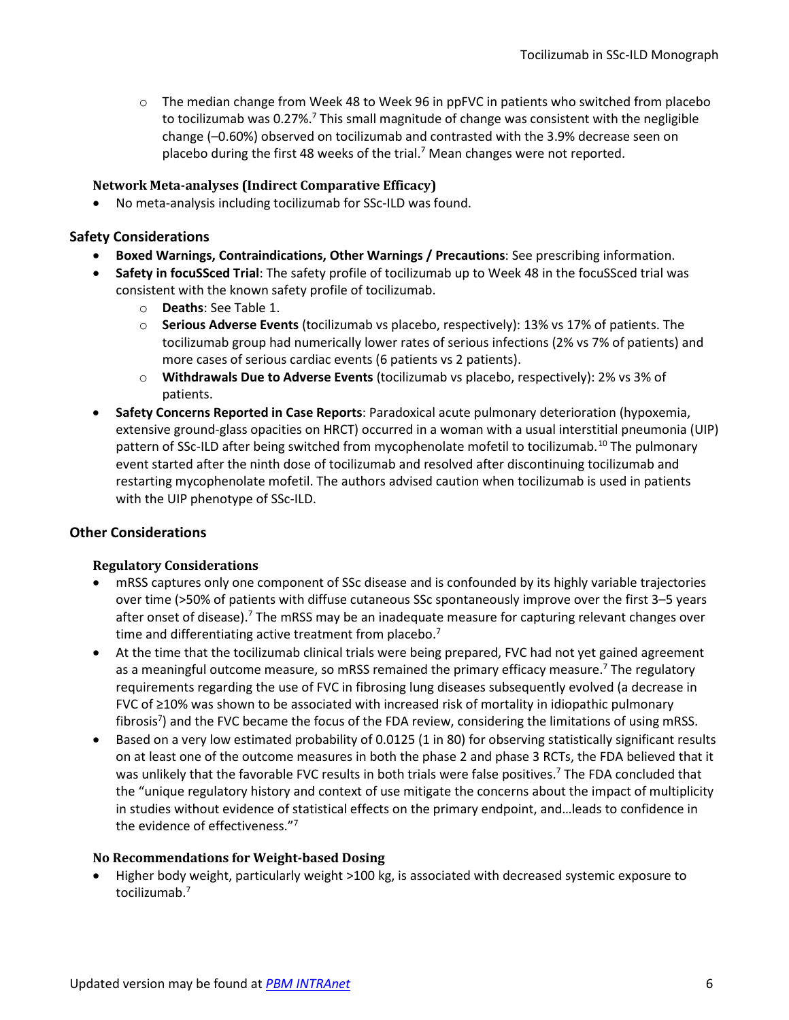$\circ$  The median change from Week 48 to Week 96 in ppFVC in patients who switched from placebo to tocilizumab was 0[.](#page-1-0)27%.<sup>7</sup> This small magnitude of change was consistent with the negligible change (–0.60%) observed on tocilizumab and contrasted with the 3.9% decrease seen on placebo during the first 48 weeks of the trial.<sup>7</sup> Mean changes were not reported.

## **Network Meta-analyses (Indirect Comparative Efficacy)**

• No meta-analysis including tocilizumab for SSc-ILD was found.

## **Safety Considerations**

- **Boxed Warnings, Contraindications, Other Warnings / Precautions**: See prescribing information.
- **Safety in focuSSced Trial**: The safety profile of tocilizumab up to Week 48 in the focuSSced trial was consistent with the known safety profile of tocilizumab.
	- o **Deaths**: See [Table 1.](#page-2-0)
	- o **Serious Adverse Events** (tocilizumab vs placebo, respectively): 13% vs 17% of patients. The tocilizumab group had numerically lower rates of serious infections (2% vs 7% of patients) and more cases of serious cardiac events (6 patients vs 2 patients).
	- o **Withdrawals Due to Adverse Events** (tocilizumab vs placebo, respectively): 2% vs 3% of patients.
- **Safety Concerns Reported in Case Reports**: Paradoxical acute pulmonary deterioration (hypoxemia, extensive ground-glass opacities on HRCT) occurred in a woman with a usual interstitial pneumonia (UIP) pattern of SSc-ILD after being switched from mycophenolate mofetil to tocilizumab.<sup>[10](#page-11-9)</sup> The pulmonary event started after the ninth dose of tocilizumab and resolved after discontinuing tocilizumab and restarting mycophenolate mofetil. The authors advised caution when tocilizumab is used in patients with the UIP phenotype of SSc-ILD.

# <span id="page-5-0"></span>**Other Considerations**

#### **Regulatory Considerations**

- mRSS captures only one component of SSc disease and is confounded by its highly variable trajectories over time (>50% of patients with diffuse cutaneous SSc spontaneously improve over the first 3–5 years after onset of disease).<sup>7</sup> The mRSS may be an inadequate measure for capturing relevant changes over time and differentiating active treatment from placebo.<sup>7</sup>
- At the time that the tocilizumab clinical trials were being prepared, FVC had not yet gained agreement as a meaningful outcome measure, so mRSS remained the primary efficacy measure.<sup>7</sup> The regulatory requirements regarding the use of FVC in fibrosing lung diseases subsequently evolved (a decrease in FVC of ≥10% was shown to be associated with increased risk of mortality in idiopathic pulmonary fibrosis<sup>7</sup>) and the FVC became the focus of the FDA review, considering the limitations of using mRSS.
- Based on a very low estimated probability of 0.0125 (1 in 80) for observing statistically significant results on at least one of the outcome measures in both the phase 2 and phase 3 RCTs, the FDA believed that it was unlikely that the favorable FVC results in both trials were false positives.<sup>7</sup> The FDA concluded that the "unique regulatory history and context of use mitigate the concerns about the impact of multiplicity in studies without evidence of statistical effects on the primary endpoint, and…leads to confidence in the evidence of effectiveness."<sup>7</sup>

#### **No Recommendations for Weight-based Dosing**

• Higher body weight, particularly weight >100 kg, is associated with decreased systemic exposure to tocilizumab[.7](#page-1-0)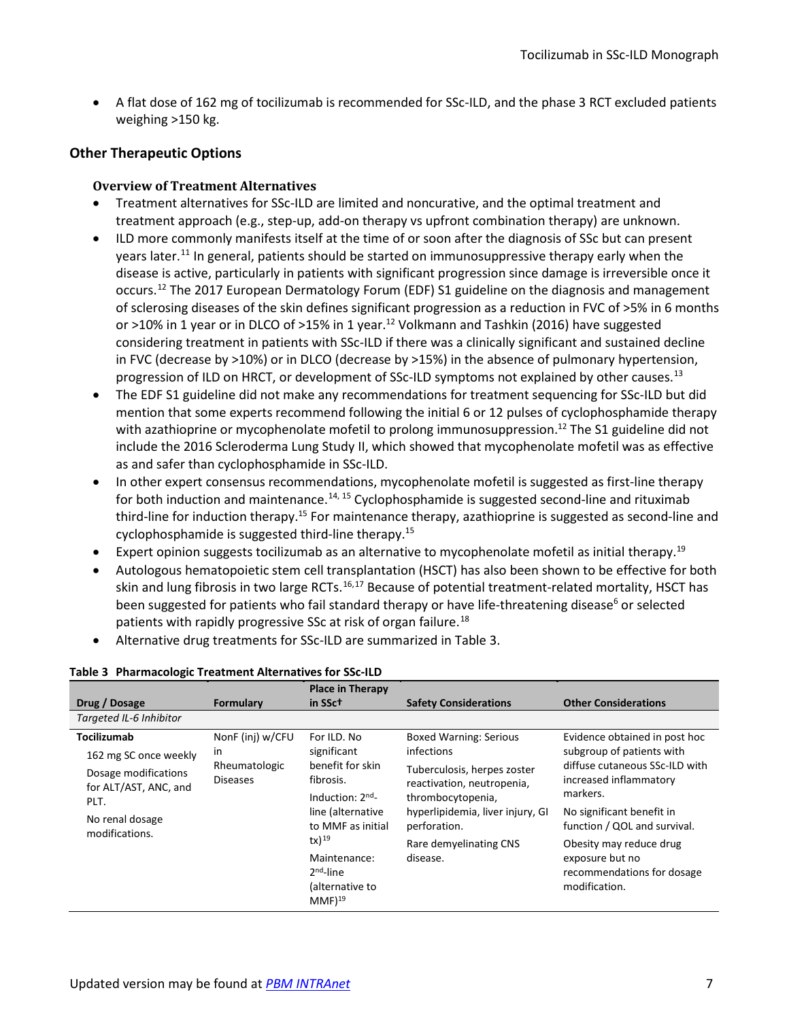• A flat dose of 162 mg of tocilizumab is recommended for SSc-ILD, and the phase 3 RCT excluded patients weighing >150 kg.

# **Other Therapeutic Options**

### **Overview of Treatment Alternatives**

- Treatment alternatives for SSc-ILD are limited and noncurative, and the optimal treatment and treatment approach (e.g., step-up, add-on therapy vs upfront combination therapy) are unknown.
- <span id="page-6-0"></span>• ILD more commonly manifests itself at the time of or soon after the diagnosis of SSc but can present years later.<sup>11</sup> In general, patients should be started on immunosuppressive therapy early when the disease is active, particularly in patients with significant progression since damage is irreversible once it occurs.<sup>[12](#page-11-11)</sup> The 2017 European Dermatology Forum (EDF) S1 guideline on the diagnosis and management of sclerosing diseases of the skin defines significant progression as a reduction in FVC of >5% in 6 months or >10% in 1 year or in DLCO of >15% in 1 year.<sup>[12](#page-6-0)</sup> Volkmann and Tashkin (2016) have suggested considering treatment in patients with SSc-ILD if there was a clinically significant and sustained decline in FVC (decrease by >10%) or in DLCO (decrease by >15%) in the absence of pulmonary hypertension, progression of ILD on HRCT, or development of SSc-ILD symptoms not explained by other causes.<sup>[13](#page-11-12)</sup>
- The EDF S1 guideline did not make any recommendations for treatment sequencing for SSc-ILD but did mention that some experts recommend following the initial 6 or 12 pulses of cyclophosphamide therapy with azathioprine or mycophenolate mofetil to prolong immunosuppression.<sup>[12](#page-6-0)</sup> The S1 guideline did not include the 2016 Scleroderma Lung Study II, which showed that mycophenolate mofetil was as effective as and safer than cyclophosphamide in SSc-ILD.
- <span id="page-6-1"></span>• In other expert consensus recommendations, mycophenolate mofetil is suggested as first-line therapy for both induction and maintenance.<sup>[14,](#page-11-13) [15](#page-11-14)</sup> Cyclophosphamide is suggested second-line and rituximab third-line for induction therapy.<sup>15</sup> For maintenance therapy, azathioprine is suggested as second-line and cyclophosphamide is suggested third-line therapy.<sup>[15](#page-6-1)</sup>
- Expert opinion suggests tocilizumab as an alternative to mycophenolate mofetil as initial therapy.<sup>19</sup>
- Autologous hematopoietic stem cell transplantation (HSCT) has also been shown to be effective for both skin and lung fibrosis in two large RCTs.<sup>[16](#page-12-0),[17](#page-12-1)</sup> Because of potential treatment-related mortality, HSCT has been suggested for patients who fail standard therapy or have life-threatening disease<sup>6</sup> or selected patients with rapidly progressive SSc at risk of organ failure.<sup>[18](#page-12-2)</sup>
- Alternative drug treatments for SSc-ILD are summarized in [Table 3.](#page-6-3)

<span id="page-6-4"></span><span id="page-6-2"></span>

| Drug / Dosage                                                                                                                      | <b>Formulary</b>                                                  | <b>Place in Therapy</b><br>in SSct                                                                                                                                                                 | <b>Safety Considerations</b>                                                                                                                                                                                            | <b>Other Considerations</b>                                                                                                                                                                                                                                                                  |
|------------------------------------------------------------------------------------------------------------------------------------|-------------------------------------------------------------------|----------------------------------------------------------------------------------------------------------------------------------------------------------------------------------------------------|-------------------------------------------------------------------------------------------------------------------------------------------------------------------------------------------------------------------------|----------------------------------------------------------------------------------------------------------------------------------------------------------------------------------------------------------------------------------------------------------------------------------------------|
| Targeted IL-6 Inhibitor                                                                                                            |                                                                   |                                                                                                                                                                                                    |                                                                                                                                                                                                                         |                                                                                                                                                                                                                                                                                              |
| Tocilizumab<br>162 mg SC once weekly<br>Dosage modifications<br>for ALT/AST, ANC, and<br>PLT.<br>No renal dosage<br>modifications. | NonF (inj) w/CFU<br><i>in</i><br>Rheumatologic<br><b>Diseases</b> | For ILD. No<br>significant<br>benefit for skin<br>fibrosis.<br>Induction: $2nd$<br>line (alternative<br>to MMF as initial<br>$tx)$ <sup>19</sup><br>Maintenance:<br>$2nd$ -line<br>(alternative to | <b>Boxed Warning: Serious</b><br>infections<br>Tuberculosis, herpes zoster<br>reactivation, neutropenia,<br>thrombocytopenia,<br>hyperlipidemia, liver injury, GI<br>perforation.<br>Rare demyelinating CNS<br>disease. | Evidence obtained in post hoc<br>subgroup of patients with<br>diffuse cutaneous SSc-ILD with<br>increased inflammatory<br>markers.<br>No significant benefit in<br>function / QOL and survival.<br>Obesity may reduce drug<br>exposure but no<br>recommendations for dosage<br>modification. |
|                                                                                                                                    |                                                                   | $MMF$ <sup>19</sup>                                                                                                                                                                                |                                                                                                                                                                                                                         |                                                                                                                                                                                                                                                                                              |

#### <span id="page-6-3"></span>**Table 3 Pharmacologic Treatment Alternatives for SSc-ILD**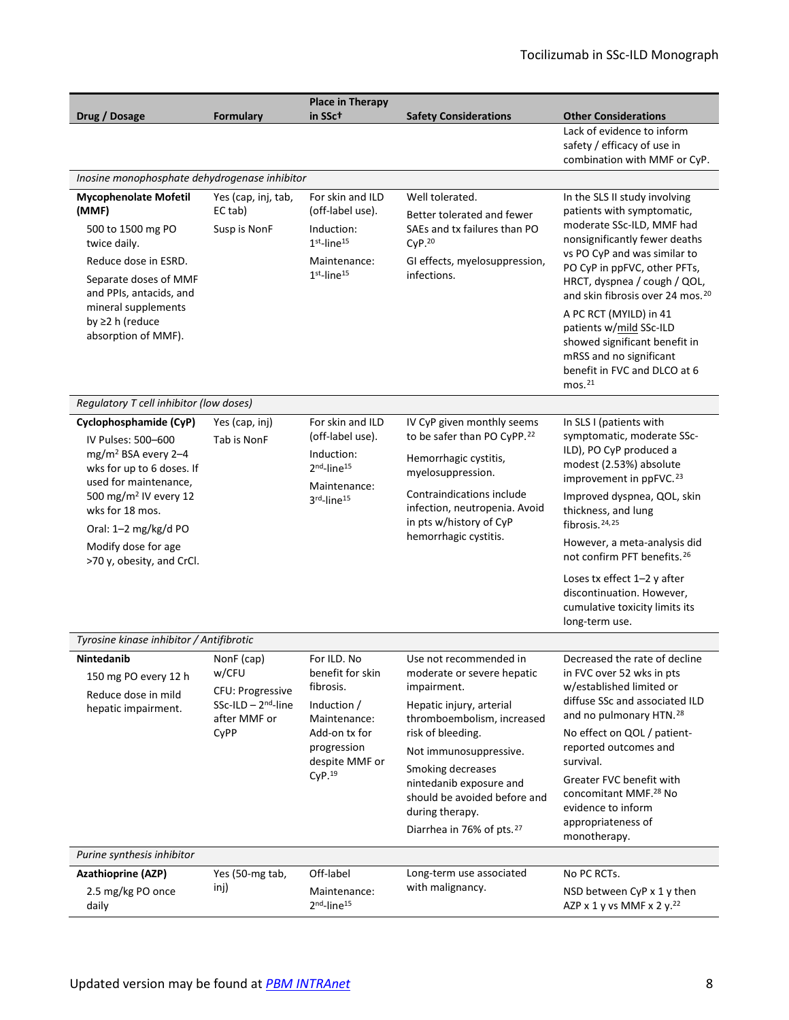<span id="page-7-2"></span><span id="page-7-1"></span><span id="page-7-0"></span>

| Drug / Dosage                                                                                                                                                                                                                                                             | Formulary                                                                                          | <b>Place in Therapy</b><br>in SSc†                                                                                                                  | <b>Safety Considerations</b>                                                                                                                                                                                                                                                                                             | <b>Other Considerations</b>                                                                                                                                                                                                                                                                                                                                                                                                                      |  |  |  |  |  |
|---------------------------------------------------------------------------------------------------------------------------------------------------------------------------------------------------------------------------------------------------------------------------|----------------------------------------------------------------------------------------------------|-----------------------------------------------------------------------------------------------------------------------------------------------------|--------------------------------------------------------------------------------------------------------------------------------------------------------------------------------------------------------------------------------------------------------------------------------------------------------------------------|--------------------------------------------------------------------------------------------------------------------------------------------------------------------------------------------------------------------------------------------------------------------------------------------------------------------------------------------------------------------------------------------------------------------------------------------------|--|--|--|--|--|
|                                                                                                                                                                                                                                                                           |                                                                                                    |                                                                                                                                                     |                                                                                                                                                                                                                                                                                                                          | Lack of evidence to inform<br>safety / efficacy of use in<br>combination with MMF or CyP.                                                                                                                                                                                                                                                                                                                                                        |  |  |  |  |  |
|                                                                                                                                                                                                                                                                           | Inosine monophosphate dehydrogenase inhibitor                                                      |                                                                                                                                                     |                                                                                                                                                                                                                                                                                                                          |                                                                                                                                                                                                                                                                                                                                                                                                                                                  |  |  |  |  |  |
| <b>Mycophenolate Mofetil</b><br>(MMF)<br>500 to 1500 mg PO<br>twice daily.<br>Reduce dose in ESRD.<br>Separate doses of MMF<br>and PPIs, antacids, and<br>mineral supplements<br>by ≥2 h (reduce<br>absorption of MMF).                                                   | Yes (cap, inj, tab,<br>EC tab)<br>Susp is NonF                                                     | For skin and ILD<br>(off-label use).<br>Induction:<br>$1st$ -line <sup>15</sup><br>Maintenance:<br>$1st$ -line <sup>15</sup>                        | Well tolerated.<br>Better tolerated and fewer<br>SAEs and tx failures than PO<br>CyP. <sup>20</sup><br>GI effects, myelosuppression,<br>infections.                                                                                                                                                                      | In the SLS II study involving<br>patients with symptomatic,<br>moderate SSc-ILD, MMF had<br>nonsignificantly fewer deaths<br>vs PO CyP and was similar to<br>PO CyP in ppFVC, other PFTs,<br>HRCT, dyspnea / cough / QOL,<br>and skin fibrosis over 24 mos. <sup>20</sup><br>A PC RCT (MYILD) in 41<br>patients w/mild SSc-ILD<br>showed significant benefit in<br>mRSS and no significant<br>benefit in FVC and DLCO at 6<br>mos. <sup>21</sup> |  |  |  |  |  |
| Regulatory T cell inhibitor (low doses)                                                                                                                                                                                                                                   |                                                                                                    |                                                                                                                                                     |                                                                                                                                                                                                                                                                                                                          |                                                                                                                                                                                                                                                                                                                                                                                                                                                  |  |  |  |  |  |
| Cyclophosphamide (CyP)<br>IV Pulses: 500-600<br>mg/m <sup>2</sup> BSA every 2-4<br>wks for up to 6 doses. If<br>used for maintenance,<br>500 mg/m <sup>2</sup> IV every 12<br>wks for 18 mos.<br>Oral: 1-2 mg/kg/d PO<br>Modify dose for age<br>>70 y, obesity, and CrCl. | Yes (cap, inj)<br>Tab is NonF                                                                      | For skin and ILD<br>(off-label use).<br>Induction:<br>2 <sup>nd</sup> -line <sup>15</sup><br>Maintenance:<br>3rd-line <sup>15</sup>                 | IV CyP given monthly seems<br>to be safer than PO CyPP. <sup>22</sup><br>Hemorrhagic cystitis,<br>myelosuppression.<br>Contraindications include<br>infection, neutropenia. Avoid<br>in pts w/history of CyP<br>hemorrhagic cystitis.                                                                                    | In SLS I (patients with<br>symptomatic, moderate SSc-<br>ILD), PO CyP produced a<br>modest (2.53%) absolute<br>improvement in ppFVC. <sup>23</sup><br>Improved dyspnea, QOL, skin<br>thickness, and lung<br>fibrosis. <sup>24,25</sup><br>However, a meta-analysis did<br>not confirm PFT benefits. <sup>26</sup><br>Loses tx effect 1-2 y after<br>discontinuation. However,<br>cumulative toxicity limits its<br>long-term use.                |  |  |  |  |  |
| Tyrosine kinase inhibitor / Antifibrotic                                                                                                                                                                                                                                  |                                                                                                    |                                                                                                                                                     |                                                                                                                                                                                                                                                                                                                          |                                                                                                                                                                                                                                                                                                                                                                                                                                                  |  |  |  |  |  |
| <b>Nintedanib</b><br>150 mg PO every 12 h<br>Reduce dose in mild<br>hepatic impairment.                                                                                                                                                                                   | NonF (cap)<br>w/CFU<br><b>CFU: Progressive</b><br>$SSc$ -ILD - $2nd$ -line<br>after MMF or<br>CyPP | For ILD. No<br>benefit for skin<br>fibrosis.<br>Induction /<br>Maintenance:<br>Add-on tx for<br>progression<br>despite MMF or<br>CyP. <sup>19</sup> | Use not recommended in<br>moderate or severe hepatic<br>impairment.<br>Hepatic injury, arterial<br>thromboembolism, increased<br>risk of bleeding.<br>Not immunosuppressive.<br>Smoking decreases<br>nintedanib exposure and<br>should be avoided before and<br>during therapy.<br>Diarrhea in 76% of pts. <sup>27</sup> | Decreased the rate of decline<br>in FVC over 52 wks in pts<br>w/established limited or<br>diffuse SSc and associated ILD<br>and no pulmonary HTN. <sup>28</sup><br>No effect on QOL / patient-<br>reported outcomes and<br>survival.<br>Greater FVC benefit with<br>concomitant MMF. <sup>28</sup> No<br>evidence to inform<br>appropriateness of<br>monotherapy.                                                                                |  |  |  |  |  |
| Purine synthesis inhibitor                                                                                                                                                                                                                                                |                                                                                                    |                                                                                                                                                     |                                                                                                                                                                                                                                                                                                                          |                                                                                                                                                                                                                                                                                                                                                                                                                                                  |  |  |  |  |  |
| <b>Azathioprine (AZP)</b><br>2.5 mg/kg PO once<br>daily                                                                                                                                                                                                                   | Yes (50-mg tab,<br>inj)                                                                            | Off-label<br>Maintenance:<br>2 <sup>nd</sup> -line <sup>15</sup>                                                                                    | Long-term use associated<br>with malignancy.                                                                                                                                                                                                                                                                             | No PC RCTs.<br>NSD between CyP x 1 y then<br>AZP x 1 y vs MMF x 2 y. <sup>22</sup>                                                                                                                                                                                                                                                                                                                                                               |  |  |  |  |  |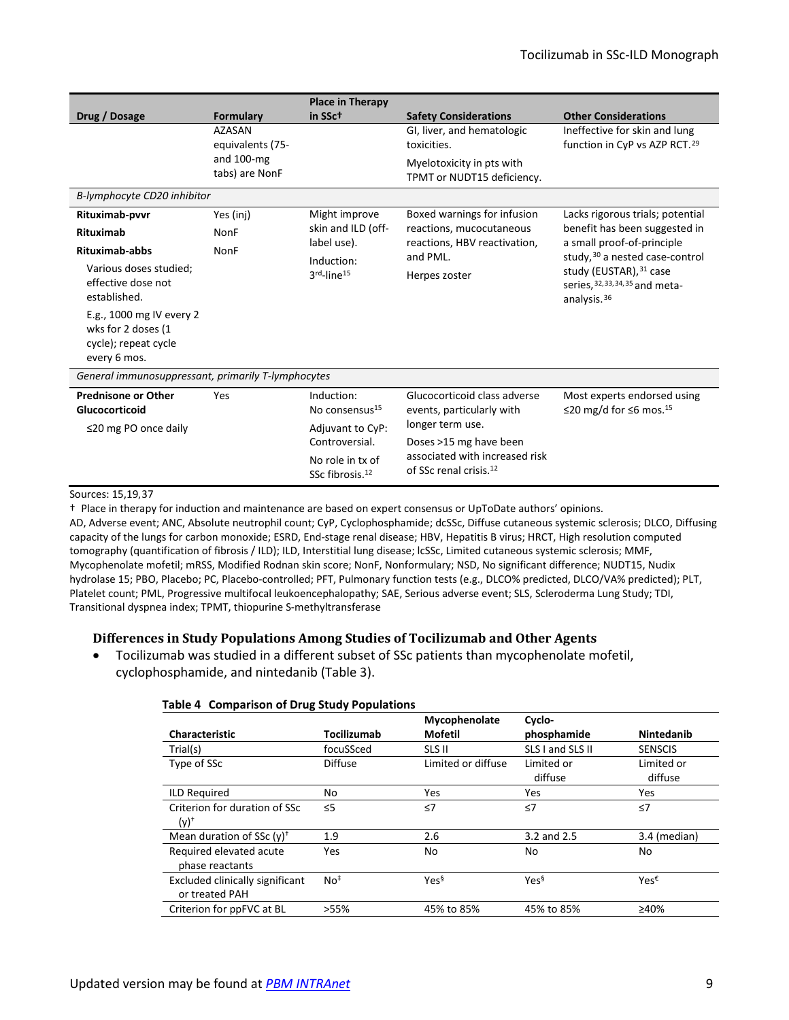| Drug / Dosage<br>B-lymphocyte CD20 inhibitor                                                                                                                                                                                                | Formulary<br><b>AZASAN</b><br>equivalents (75-<br>and $100$ -mg<br>tabs) are NonF | <b>Place in Therapy</b><br>in SSct                                                                                                | <b>Safety Considerations</b><br>GI, liver, and hematologic<br>toxicities.<br>Myelotoxicity in pts with<br>TPMT or NUDT15 deficiency.                                            | <b>Other Considerations</b><br>Ineffective for skin and lung<br>function in CyP vs AZP RCT. <sup>29</sup>                                                                                                         |  |  |
|---------------------------------------------------------------------------------------------------------------------------------------------------------------------------------------------------------------------------------------------|-----------------------------------------------------------------------------------|-----------------------------------------------------------------------------------------------------------------------------------|---------------------------------------------------------------------------------------------------------------------------------------------------------------------------------|-------------------------------------------------------------------------------------------------------------------------------------------------------------------------------------------------------------------|--|--|
| Yes (inj)<br>Rituximab-pvvr<br><b>Rituximab</b><br>NonF<br>Rituximab-abbs<br>NonF<br>Various doses studied;<br>effective dose not<br>established.<br>E.g., 1000 mg IV every 2<br>wks for 2 doses (1<br>cycle); repeat cycle<br>every 6 mos. |                                                                                   | Might improve<br>skin and ILD (off-<br>label use).<br>Induction:<br>$3rd$ -line <sup>15</sup>                                     | Boxed warnings for infusion<br>reactions, mucocutaneous<br>reactions, HBV reactivation,<br>and PML.<br>Herpes zoster                                                            | Lacks rigorous trials; potential<br>benefit has been suggested in<br>a small proof-of-principle<br>study, 30 a nested case-control<br>study (EUSTAR), 31 case<br>series, 32, 33, 34, 35 and meta-<br>analysis. 36 |  |  |
| General immunosuppressant, primarily T-lymphocytes                                                                                                                                                                                          |                                                                                   |                                                                                                                                   |                                                                                                                                                                                 |                                                                                                                                                                                                                   |  |  |
| <b>Prednisone or Other</b><br>Glucocorticoid<br>$\leq$ 20 mg PO once daily                                                                                                                                                                  | Yes                                                                               | Induction:<br>No consensus <sup>15</sup><br>Adjuvant to CyP:<br>Controversial.<br>No role in tx of<br>SSc fibrosis. <sup>12</sup> | Glucocorticoid class adverse<br>events, particularly with<br>longer term use.<br>Doses >15 mg have been<br>associated with increased risk<br>of SSc renal crisis. <sup>12</sup> | Most experts endorsed using<br>≤20 mg/d for ≤6 mos. <sup>15</sup>                                                                                                                                                 |  |  |

#### Sources: [15](#page-6-1)[,19,](#page-6-4)[37](#page-13-5)

† Place in therapy for induction and maintenance are based on expert consensus or UpToDate authors' opinions.

AD, Adverse event; ANC, Absolute neutrophil count; CyP, Cyclophosphamide; dcSSc, Diffuse cutaneous systemic sclerosis; DLCO, Diffusing capacity of the lungs for carbon monoxide; ESRD, End-stage renal disease; HBV, Hepatitis B virus; HRCT, High resolution computed tomography (quantification of fibrosis / ILD); ILD, Interstitial lung disease; lcSSc, Limited cutaneous systemic sclerosis; MMF, Mycophenolate mofetil; mRSS, Modified Rodnan skin score; NonF, Nonformulary; NSD, No significant difference; NUDT15, Nudix hydrolase 15; PBO, Placebo; PC, Placebo-controlled; PFT, Pulmonary function tests (e.g., DLCO% predicted, DLCO/VA% predicted); PLT, Platelet count; PML, Progressive multifocal leukoencephalopathy; SAE, Serious adverse event; SLS, Scleroderma Lung Study; TDI, Transitional dyspnea index; TPMT, thiopurine S-methyltransferase

#### **Differences in Study Populations Among Studies of Tocilizumab and Other Agents**

<span id="page-8-0"></span>• Tocilizumab was studied in a different subset of SSc patients than mycophenolate mofetil, cyclophosphamide, and nintedanib [\(Table 3\)](#page-8-0).

|                                 |                 | Mycophenolate      | Cyclo-           |                  |
|---------------------------------|-----------------|--------------------|------------------|------------------|
| <b>Characteristic</b>           | Tocilizumab     | Mofetil            | phosphamide      | Nintedanib       |
| Trial(s)                        | focuSSced       | SLS II             | SLS I and SLS II | <b>SENSCIS</b>   |
| Type of SSc                     | <b>Diffuse</b>  | Limited or diffuse | Limited or       | Limited or       |
|                                 |                 |                    | diffuse          | diffuse          |
| <b>ILD Required</b>             | No              | <b>Yes</b>         | <b>Yes</b>       | Yes              |
| Criterion for duration of SSc   | $\leq$ 5        | $\leq$ 7           | $\leq 7$         | $\leq$ 7         |
| $(y)^+$                         |                 |                    |                  |                  |
| Mean duration of SSc $(y)^+$    | 1.9             | 2.6                | 3.2 and 2.5      | 3.4 (median)     |
| Required elevated acute         | Yes             | No                 | No               | No               |
| phase reactants                 |                 |                    |                  |                  |
| Excluded clinically significant | No <sup>‡</sup> | Yes <sup>§</sup>   | Yes <sup>§</sup> | $Yes^{\epsilon}$ |
| or treated PAH                  |                 |                    |                  |                  |
| Criterion for ppFVC at BL       | >55%            | 45% to 85%         | 45% to 85%       | ≥40%             |

#### **Table 4 Comparison of Drug Study Populations**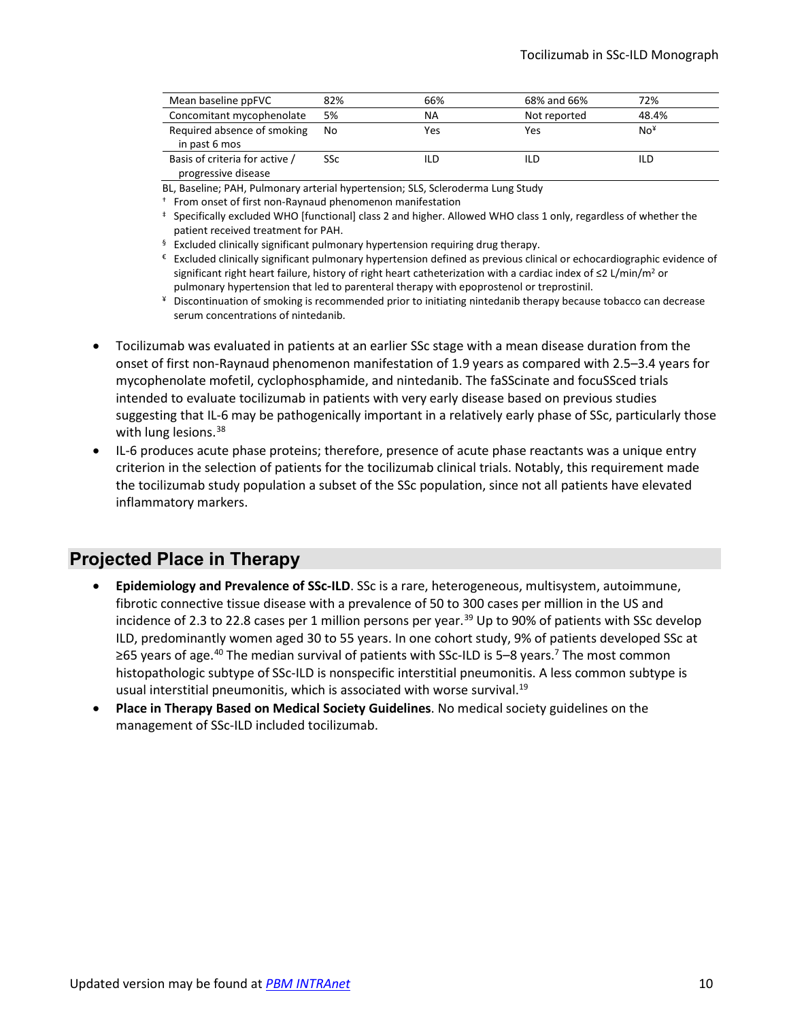| Mean baseline ppFVC            | 82% | 66% | 68% and 66%  | 72%             |
|--------------------------------|-----|-----|--------------|-----------------|
| Concomitant mycophenolate      | 5%  | ΝA  | Not reported | 48.4%           |
| Required absence of smoking    | No  | Yes | Yes          | No <sup>x</sup> |
| in past 6 mos                  |     |     |              |                 |
| Basis of criteria for active / | SSc | ild | ILD          | ILD             |
| progressive disease            |     |     |              |                 |

BL, Baseline; PAH, Pulmonary arterial hypertension; SLS, Scleroderma Lung Study

† From onset of first non-Raynaud phenomenon manifestation

- ‡ Specifically excluded WHO [functional] class 2 and higher. Allowed WHO class 1 only, regardless of whether the patient received treatment for PAH.
- $§$  Excluded clinically significant pulmonary hypertension requiring drug therapy.
- € Excluded clinically significant pulmonary hypertension defined as previous clinical or echocardiographic evidence of significant right heart failure, history of right heart catheterization with a cardiac index of ≤2 L/min/m<sup>2</sup> or pulmonary hypertension that led to parenteral therapy with epoprostenol or treprostinil.
- ¥ Discontinuation of smoking is recommended prior to initiating nintedanib therapy because tobacco can decrease serum concentrations of nintedanib.
- Tocilizumab was evaluated in patients at an earlier SSc stage with a mean disease duration from the onset of first non-Raynaud phenomenon manifestation of 1.9 years as compared with 2.5–3.4 years for mycophenolate mofetil, cyclophosphamide, and nintedanib. The faSScinate and focuSSced trials intended to evaluate tocilizumab in patients with very early disease based on previous studies suggesting that IL-6 may be pathogenically important in a relatively early phase of SSc, particularly those with lung lesions.<sup>[38](#page-13-6)</sup>
- IL-6 produces acute phase proteins; therefore, presence of acute phase reactants was a unique entry criterion in the selection of patients for the tocilizumab clinical trials. Notably, this requirement made the tocilizumab study population a subset of the SSc population, since not all patients have elevated inflammatory markers.

# **Projected Place in Therapy**

- **Epidemiology and Prevalence of SSc-ILD**. SSc is a rare, heterogeneous, multisystem, autoimmune, fibrotic connective tissue disease with a prevalence of 50 to 300 cases per million in the US and incidence of 2.3 to 22.8 cases per 1 million persons per year. [39](#page-13-7) Up to 90% of patients with SSc develop ILD, predominantly women aged 30 to 55 years. In one cohort study, 9% of patients developed SSc at ≥65 years of age.<sup>[40](#page-13-8)</sup> The median survival of patients with SSc-ILD is 5–8 years.<sup>7</sup> The most common histopathologic subtype of SSc-ILD is nonspecific interstitial pneumonitis. A less common subtype is usual interstitial pneumonitis, which is associated with worse survival.<sup>19</sup>
- **Place in Therapy Based on Medical Society Guidelines**. No medical society guidelines on the management of SSc-ILD included tocilizumab.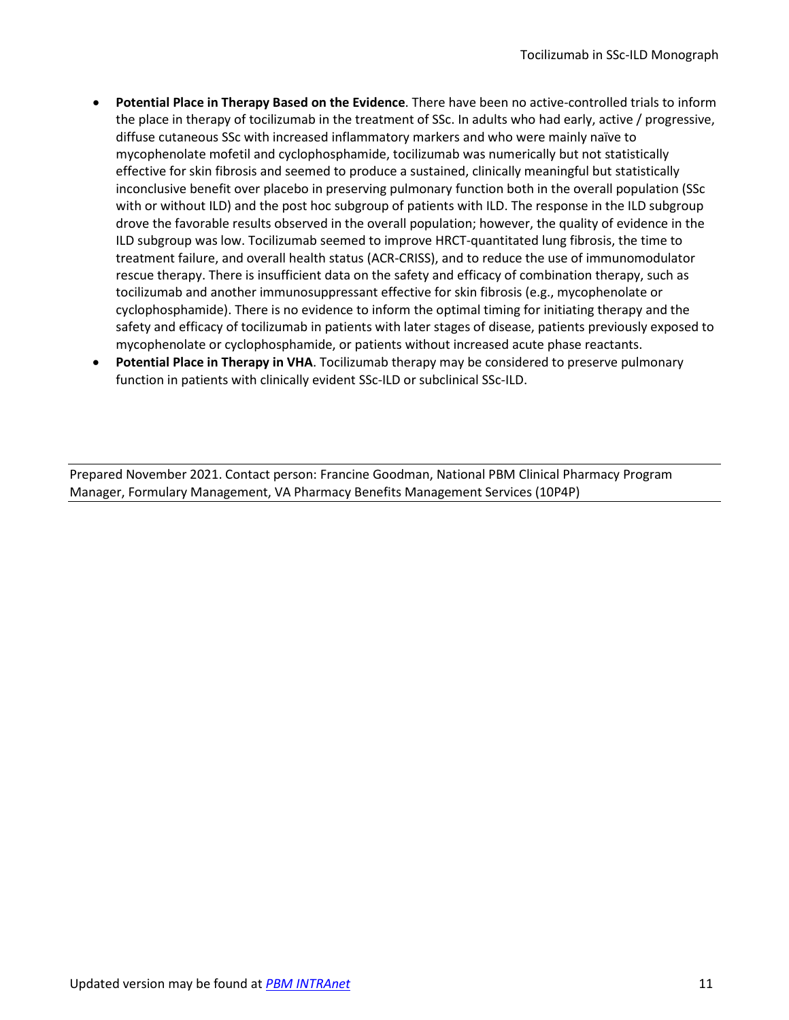- **Potential Place in Therapy Based on the Evidence**. There have been no active-controlled trials to inform the place in therapy of tocilizumab in the treatment of SSc. In adults who had early, active / progressive, diffuse cutaneous SSc with increased inflammatory markers and who were mainly naïve to mycophenolate mofetil and cyclophosphamide, tocilizumab was numerically but not statistically effective for skin fibrosis and seemed to produce a sustained, clinically meaningful but statistically inconclusive benefit over placebo in preserving pulmonary function both in the overall population (SSc with or without ILD) and the post hoc subgroup of patients with ILD. The response in the ILD subgroup drove the favorable results observed in the overall population; however, the quality of evidence in the ILD subgroup was low. Tocilizumab seemed to improve HRCT-quantitated lung fibrosis, the time to treatment failure, and overall health status (ACR-CRISS), and to reduce the use of immunomodulator rescue therapy. There is insufficient data on the safety and efficacy of combination therapy, such as tocilizumab and another immunosuppressant effective for skin fibrosis (e.g., mycophenolate or cyclophosphamide). There is no evidence to inform the optimal timing for initiating therapy and the safety and efficacy of tocilizumab in patients with later stages of disease, patients previously exposed to mycophenolate or cyclophosphamide, or patients without increased acute phase reactants.
- **Potential Place in Therapy in VHA**. Tocilizumab therapy may be considered to preserve pulmonary function in patients with clinically evident SSc-ILD or subclinical SSc-ILD.

Prepared November 2021. Contact person: Francine Goodman, National PBM Clinical Pharmacy Program Manager, Formulary Management, VA Pharmacy Benefits Management Services (10P4P)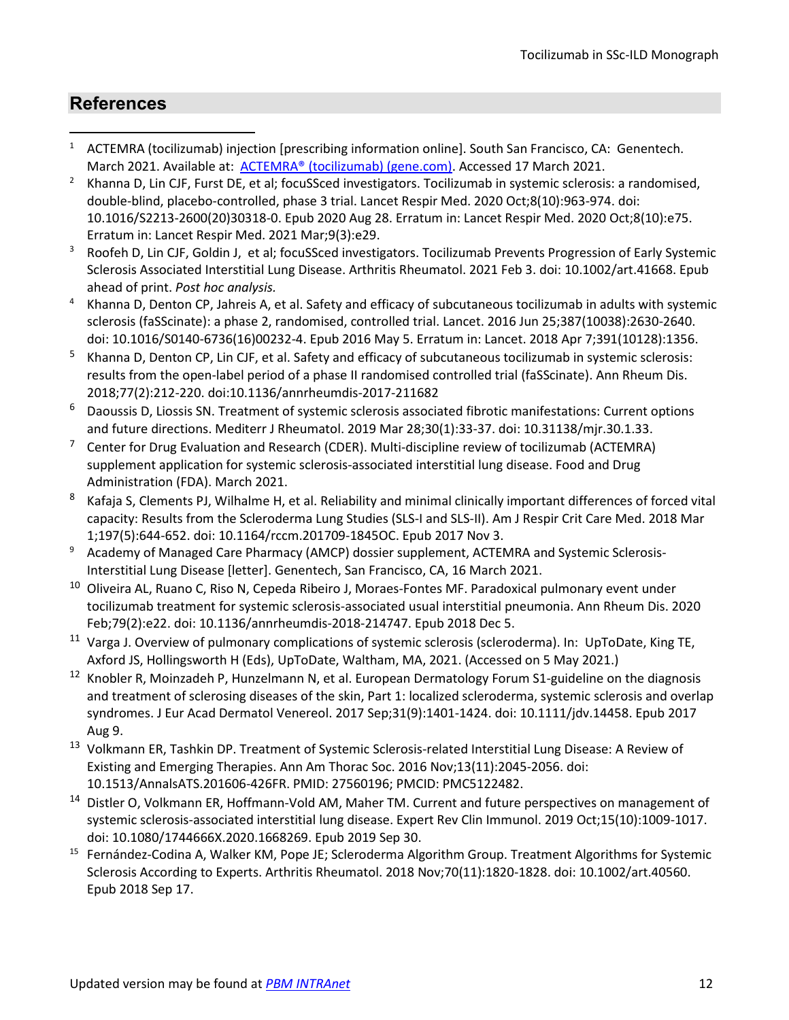# **References**

- <span id="page-11-0"></span>1 ACTEMRA (tocilizumab) injection [prescribing information online]. South San Francisco, CA: Genentech. March 2021. Available at: [ACTEMRA® \(tocilizumab\) \(gene.com\).](https://www.gene.com/download/pdf/actemra_prescribing.pdf) Accessed 17 March 2021.
- <span id="page-11-1"></span> Khanna D, Lin CJF, Furst DE, et al; focuSSced investigators. Tocilizumab in systemic sclerosis: a randomised, double-blind, placebo-controlled, phase 3 trial. Lancet Respir Med. 2020 Oct;8(10):963-974. doi: 10.1016/S2213-2600(20)30318-0. Epub 2020 Aug 28. Erratum in: Lancet Respir Med. 2020 Oct;8(10):e75. Erratum in: Lancet Respir Med. 2021 Mar;9(3):e29.
- <span id="page-11-2"></span><sup>3</sup> Roofeh D, Lin CJF, Goldin J, et al; focuSSced investigators. Tocilizumab Prevents Progression of Early Systemic Sclerosis Associated Interstitial Lung Disease. Arthritis Rheumatol. 2021 Feb 3. doi: 10.1002/art.41668. Epub ahead of print. *Post hoc analysis.*
- <span id="page-11-3"></span>4 Khanna D, Denton CP, Jahreis A, et al. Safety and efficacy of subcutaneous tocilizumab in adults with systemic sclerosis (faSScinate): a phase 2, randomised, controlled trial. Lancet. 2016 Jun 25;387(10038):2630-2640. doi: 10.1016/S0140-6736(16)00232-4. Epub 2016 May 5. Erratum in: Lancet. 2018 Apr 7;391(10128):1356.
- <span id="page-11-4"></span>5 Khanna D, Denton CP, Lin CJF, et al. Safety and efficacy of subcutaneous tocilizumab in systemic sclerosis: results from the open-label period of a phase II randomised controlled trial (faSScinate). Ann Rheum Dis. 2018;77(2):212-220. doi:10.1136/annrheumdis-2017-211682
- <span id="page-11-5"></span>6 Daoussis D, Liossis SN. Treatment of systemic sclerosis associated fibrotic manifestations: Current options and future directions. Mediterr J Rheumatol. 2019 Mar 28;30(1):33-37. doi: 10.31138/mjr.30.1.33.
- <span id="page-11-6"></span> $7$  Center for Drug Evaluation and Research (CDER). Multi-discipline review of tocilizumab (ACTEMRA) supplement application for systemic sclerosis-associated interstitial lung disease. Food and Drug Administration (FDA). March 2021.
- <span id="page-11-7"></span>8 Kafaja S, Clements PJ, Wilhalme H, et al. Reliability and minimal clinically important differences of forced vital capacity: Results from the Scleroderma Lung Studies (SLS-I and SLS-II). Am J Respir Crit Care Med. 2018 Mar 1;197(5):644-652. doi: 10.1164/rccm.201709-1845OC. Epub 2017 Nov 3.
- <span id="page-11-8"></span><sup>9</sup> Academy of Managed Care Pharmacy (AMCP) dossier supplement, ACTEMRA and Systemic Sclerosis-
- <span id="page-11-9"></span>Interstitial Lung Disease [letter]. Genentech, San Francisco, CA, 16 March 2021.<br><sup>10</sup> Oliveira AL, Ruano C, Riso N, Cepeda Ribeiro J, Moraes-Fontes MF. Paradoxical pulmonary event under tocilizumab treatment for systemic sclerosis-associated usual interstitial pneumonia. Ann Rheum Dis. 2020 Feb;79(2):e22. doi: 10.1136/annrheumdis-2018-214747. Epub 2018 Dec 5.
- <span id="page-11-10"></span><sup>11</sup> Varga J. Overview of pulmonary complications of systemic sclerosis (scleroderma). In: UpToDate, King TE, Axford JS, Hollingsworth H (Eds), UpToDate, Waltham, MA, 2021. (Accessed on 5 May 2021.)
- <span id="page-11-11"></span><sup>12</sup> Knobler R, Moinzadeh P, Hunzelmann N, et al. European Dermatology Forum S1-guideline on the diagnosis and treatment of sclerosing diseases of the skin, Part 1: localized scleroderma, systemic sclerosis and overlap syndromes. J Eur Acad Dermatol Venereol. 2017 Sep;31(9):1401-1424. doi: 10.1111/jdv.14458. Epub 2017 Aug 9.
- <span id="page-11-12"></span>13 Volkmann ER, Tashkin DP. Treatment of Systemic Sclerosis-related Interstitial Lung Disease: A Review of Existing and Emerging Therapies. Ann Am Thorac Soc. 2016 Nov;13(11):2045-2056. doi: 10.1513/AnnalsATS.201606-426FR. PMID: 27560196; PMCID: PMC5122482.
- <span id="page-11-13"></span>14 Distler O, Volkmann ER, Hoffmann-Vold AM, Maher TM. Current and future perspectives on management of systemic sclerosis-associated interstitial lung disease. Expert Rev Clin Immunol. 2019 Oct;15(10):1009-1017. doi: 10.1080/1744666X.2020.1668269. Epub 2019 Sep 30.
- <span id="page-11-14"></span><sup>15</sup> Fernández-Codina A, Walker KM, Pope JE; Scleroderma Algorithm Group. Treatment Algorithms for Systemic Sclerosis According to Experts. Arthritis Rheumatol. 2018 Nov;70(11):1820-1828. doi: 10.1002/art.40560. Epub 2018 Sep 17.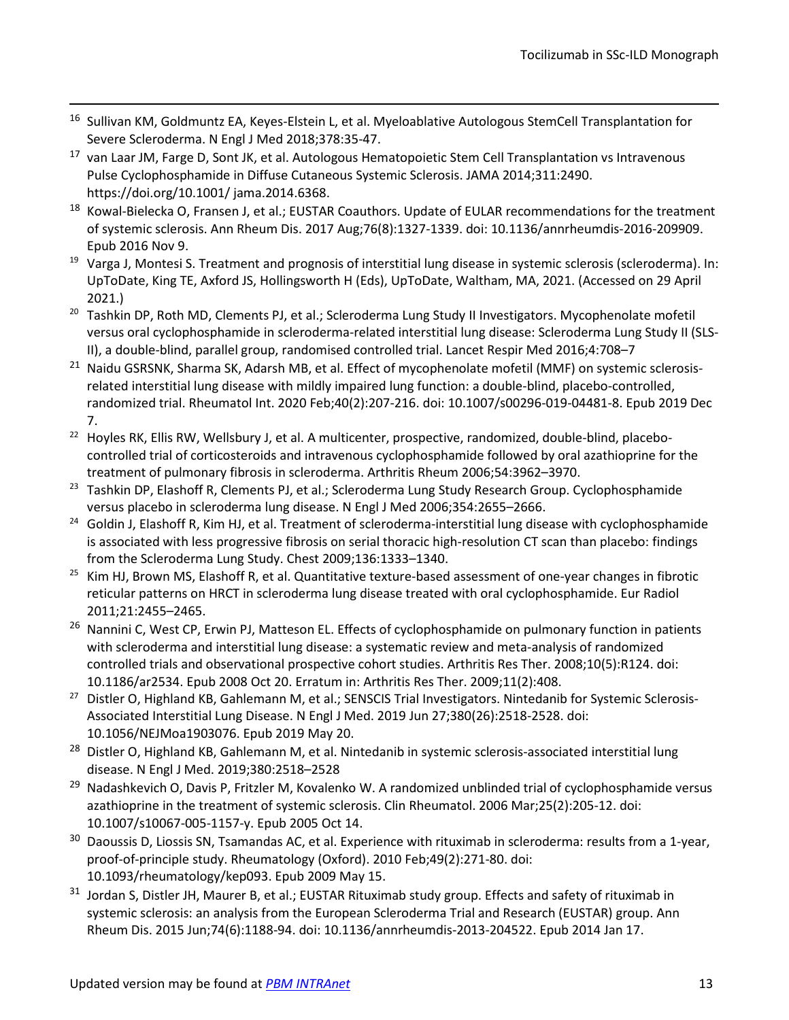- <span id="page-12-0"></span>16 Sullivan KM, Goldmuntz EA, Keyes-Elstein L, et al. Myeloablative Autologous StemCell Transplantation for Severe Scleroderma. N Engl J Med 2018;378:35-47.
- <span id="page-12-1"></span><sup>17</sup> van Laar JM, Farge D, Sont JK, et al. Autologous Hematopoietic Stem Cell Transplantation vs Intravenous Pulse Cyclophosphamide in Diffuse Cutaneous Systemic Sclerosis. JAMA 2014;311:2490. https://doi.org/10.1001/ jama.2014.6368.
- <span id="page-12-2"></span><sup>18</sup> Kowal-Bielecka O, Fransen J, et al.; EUSTAR Coauthors. Update of EULAR recommendations for the treatment of systemic sclerosis. Ann Rheum Dis. 2017 Aug;76(8):1327-1339. doi: 10.1136/annrheumdis-2016-209909. Epub 2016 Nov 9.
- <span id="page-12-3"></span><sup>19</sup> Varga J, Montesi S. Treatment and prognosis of interstitial lung disease in systemic sclerosis (scleroderma). In: UpToDate, King TE, Axford JS, Hollingsworth H (Eds), UpToDate, Waltham, MA, 2021. (Accessed on 29 April 2021.)
- <span id="page-12-4"></span><sup>20</sup> Tashkin DP, Roth MD, Clements PJ, et al.; Scleroderma Lung Study II Investigators. Mycophenolate mofetil versus oral cyclophosphamide in scleroderma-related interstitial lung disease: Scleroderma Lung Study II (SLS-II), a double-blind, parallel group, randomised controlled trial. Lancet Respir Med 2016;4:708–7
- <span id="page-12-5"></span><sup>21</sup> Naidu GSRSNK, Sharma SK, Adarsh MB, et al. Effect of mycophenolate mofetil (MMF) on systemic sclerosisrelated interstitial lung disease with mildly impaired lung function: a double-blind, placebo-controlled, randomized trial. Rheumatol Int. 2020 Feb;40(2):207-216. doi: 10.1007/s00296-019-04481-8. Epub 2019 Dec 7.
- <span id="page-12-6"></span><sup>22</sup> Hoyles RK, Ellis RW, Wellsbury J, et al. A multicenter, prospective, randomized, double-blind, placebocontrolled trial of corticosteroids and intravenous cyclophosphamide followed by oral azathioprine for the treatment of pulmonary fibrosis in scleroderma. Arthritis Rheum 2006;54:3962–3970.
- <span id="page-12-7"></span><sup>23</sup> Tashkin DP, Elashoff R, Clements PJ, et al.; Scleroderma Lung Study Research Group. Cyclophosphamide versus placebo in scleroderma lung disease. N Engl J Med 2006;354:2655–2666.
- <span id="page-12-8"></span><sup>24</sup> Goldin J, Elashoff R, Kim HJ, et al. Treatment of scleroderma-interstitial lung disease with cyclophosphamide is associated with less progressive fibrosis on serial thoracic high-resolution CT scan than placebo: findings from the Scleroderma Lung Study. Chest 2009;136:1333–1340.
- <span id="page-12-9"></span><sup>25</sup> Kim HJ, Brown MS, Elashoff R, et al. Quantitative texture-based assessment of one-year changes in fibrotic reticular patterns on HRCT in scleroderma lung disease treated with oral cyclophosphamide. Eur Radiol 2011;21:2455–2465.
- <span id="page-12-10"></span><sup>26</sup> Nannini C, West CP, Erwin PJ, Matteson EL. Effects of cyclophosphamide on pulmonary function in patients with scleroderma and interstitial lung disease: a systematic review and meta-analysis of randomized controlled trials and observational prospective cohort studies. Arthritis Res Ther. 2008;10(5):R124. doi:
- <span id="page-12-11"></span>10.1186/ar2534. Epub 2008 Oct 20. Erratum in: Arthritis Res Ther. 2009;11(2):408.<br><sup>27</sup> Distler O, Highland KB, Gahlemann M, et al.; SENSCIS Trial Investigators. Nintedanib for Systemic Sclerosis-Associated Interstitial Lung Disease. N Engl J Med. 2019 Jun 27;380(26):2518-2528. doi: 10.1056/NEJMoa1903076. Epub 2019 May 20.
- <span id="page-12-12"></span><sup>28</sup> Distler O, Highland KB, Gahlemann M, et al. Nintedanib in systemic sclerosis-associated interstitial lung disease. N Engl J Med. 2019;380:2518–2528
- <span id="page-12-13"></span><sup>29</sup> Nadashkevich O, Davis P, Fritzler M, Kovalenko W. A randomized unblinded trial of cyclophosphamide versus azathioprine in the treatment of systemic sclerosis. Clin Rheumatol. 2006 Mar;25(2):205-12. doi: 10.1007/s10067-005-1157-y. Epub 2005 Oct 14.
- <span id="page-12-14"></span><sup>30</sup> Daoussis D, Liossis SN, Tsamandas AC, et al. Experience with rituximab in scleroderma: results from a 1-year, proof-of-principle study. Rheumatology (Oxford). 2010 Feb;49(2):271-80. doi: 10.1093/rheumatology/kep093. Epub 2009 May 15.
- <span id="page-12-15"></span><sup>31</sup> Jordan S, Distler JH, Maurer B, et al.; EUSTAR Rituximab study group. Effects and safety of rituximab in systemic sclerosis: an analysis from the European Scleroderma Trial and Research (EUSTAR) group. Ann Rheum Dis. 2015 Jun;74(6):1188-94. doi: 10.1136/annrheumdis-2013-204522. Epub 2014 Jan 17.